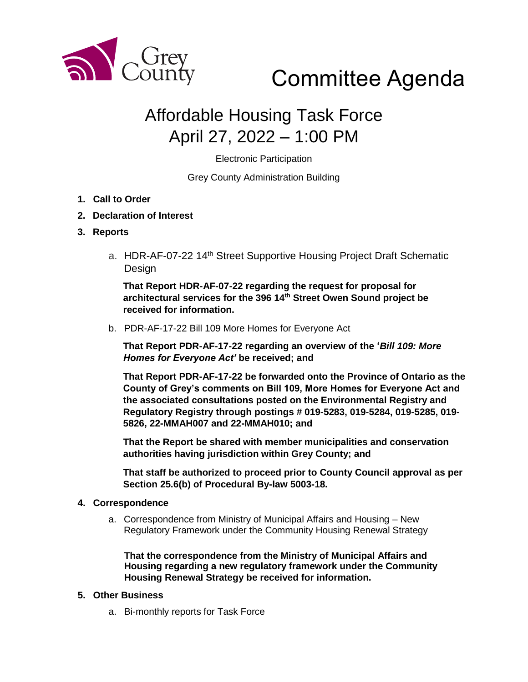

# Committee Agenda

# Affordable Housing Task Force April 27, 2022 – 1:00 PM

Electronic Participation

Grey County Administration Building

- **1. Call to Order**
- **2. Declaration of Interest**

#### **3. Reports**

a. HDR-AF-07-22 14<sup>th</sup> Street Supportive Housing Project Draft Schematic Design

**That Report HDR-AF-07-22 regarding the request for proposal for architectural services for the 396 14th Street Owen Sound project be received for information.**

b. PDR-AF-17-22 Bill 109 More Homes for Everyone Act

**That Report PDR-AF-17-22 regarding an overview of the '***Bill 109: More Homes for Everyone Act'* **be received; and**

**That Report PDR-AF-17-22 be forwarded onto the Province of Ontario as the County of Grey's comments on Bill 109, More Homes for Everyone Act and the associated consultations posted on the Environmental Registry and Regulatory Registry through postings # 019-5283, 019-5284, 019-5285, 019- 5826, 22-MMAH007 and 22-MMAH010; and**

**That the Report be shared with member municipalities and conservation authorities having jurisdiction within Grey County; and**

**That staff be authorized to proceed prior to County Council approval as per Section 25.6(b) of Procedural By-law 5003-18.**

#### **4. Correspondence**

a. Correspondence from Ministry of Municipal Affairs and Housing – New Regulatory Framework under the Community Housing Renewal Strategy

**That the correspondence from the Ministry of Municipal Affairs and Housing regarding a new regulatory framework under the Community Housing Renewal Strategy be received for information.** 

#### **5. Other Business**

a. Bi-monthly reports for Task Force